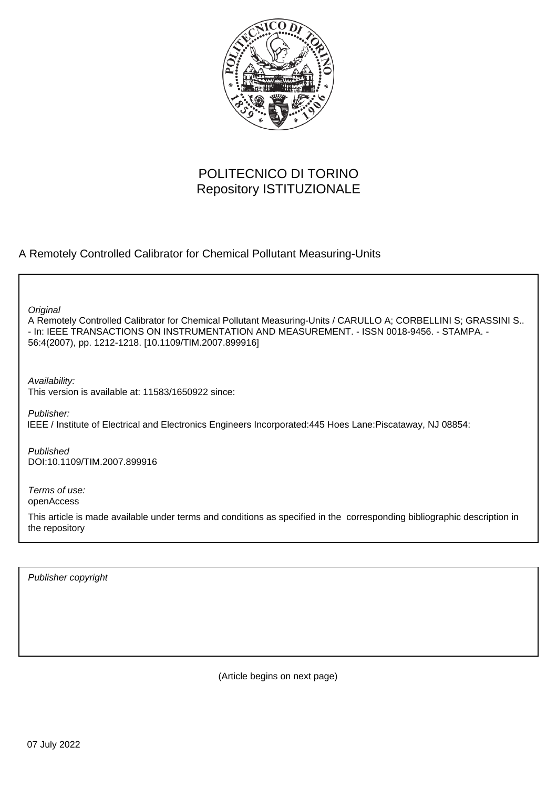

# POLITECNICO DI TORINO Repository ISTITUZIONALE

A Remotely Controlled Calibrator for Chemical Pollutant Measuring-Units

**Original** 

A Remotely Controlled Calibrator for Chemical Pollutant Measuring-Units / CARULLO A; CORBELLINI S; GRASSINI S.. - In: IEEE TRANSACTIONS ON INSTRUMENTATION AND MEASUREMENT. - ISSN 0018-9456. - STAMPA. - 56:4(2007), pp. 1212-1218. [10.1109/TIM.2007.899916]

Availability: This version is available at: 11583/1650922 since:

Publisher: IEEE / Institute of Electrical and Electronics Engineers Incorporated:445 Hoes Lane:Piscataway, NJ 08854:

Published DOI:10.1109/TIM.2007.899916

Terms of use: openAccess

This article is made available under terms and conditions as specified in the corresponding bibliographic description in the repository

Publisher copyright

(Article begins on next page)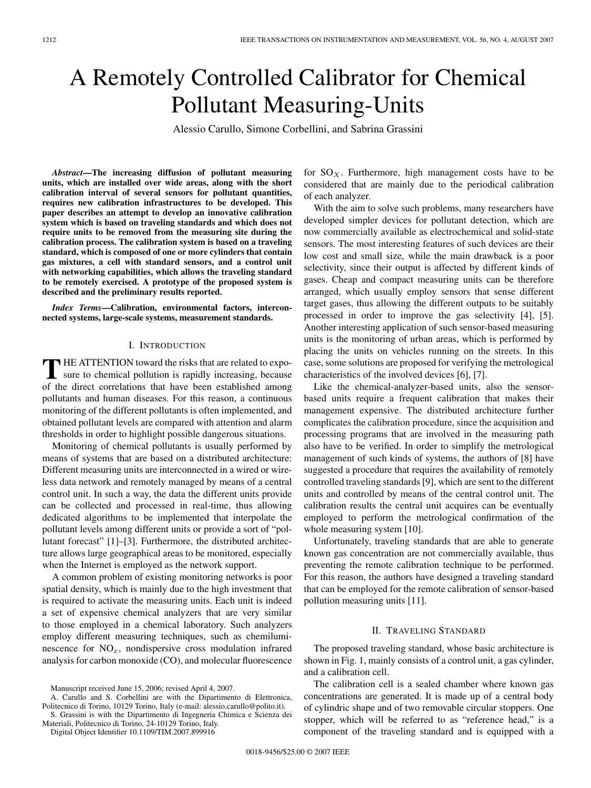# A Remotely Controlled Calibrator for Chemical Pollutant Measuring-Units

Alessio Carullo, Simone Corbellini, and Sabrina Grassini

*Abstract***—The increasing diffusion of pollutant measuring units, which are installed over wide areas, along with the short calibration interval of several sensors for pollutant quantities, requires new calibration infrastructures to be developed. This paper describes an attempt to develop an innovative calibration system which is based on traveling standards and which does not require units to be removed from the measuring site during the calibration process. The calibration system is based on a traveling standard, which is composed of one or more cylinders that contain gas mixtures, a cell with standard sensors, and a control unit with networking capabilities, which allows the traveling standard to be remotely exercised. A prototype of the proposed system is described and the preliminary results reported.**

*Index Terms***—Calibration, environmental factors, interconnected systems, large-scale systems, measurement standards.**

### I. INTRODUCTION

THE ATTENTION toward the risks that are related to expo-<br>sure to chemical pollution is rapidly increasing, because of the direct correlations that have been established among pollutants and human diseases. For this reason, a continuous monitoring of the different pollutants is often implemented, and obtained pollutant levels are compared with attention and alarm thresholds in order to highlight possible dangerous situations.

Monitoring of chemical pollutants is usually performed by means of systems that are based on a distributed architecture: Different measuring units are interconnected in a wired or wireless data network and remotely managed by means of a central control unit. In such a way, the data the different units provide can be collected and processed in real-time, thus allowing dedicated algorithms to be implemented that interpolate the pollutant levels among different units or provide a sort of "pollutant forecast" [1]–[3]. Furthermore, the distributed architecture allows large geographical areas to be monitored, especially when the Internet is employed as the network support.

A common problem of existing monitoring networks is poor spatial density, which is mainly due to the high investment that is required to activate the measuring units. Each unit is indeed a set of expensive chemical analyzers that are very similar to those employed in a chemical laboratory. Such analyzers employ different measuring techniques, such as chemiluminescence for  $NO<sub>x</sub>$ , nondispersive cross modulation infrared analysis for carbon monoxide (CO), and molecular fluorescence

A. Carullo and S. Corbellini are with the Dipartimento di Elettronica, Politecnico di Torino, 10129 Torino, Italy (e-mail: alessio.carullo@polito.it).

S. Grassini is with the Dipartimento di Ingegneria Chimica e Scienza dei Materiali, Politecnico di Torino, 24-10129 Torino, Italy.

Digital Object Identifier 10.1109/TIM.2007.899916

for  $SO<sub>X</sub>$ . Furthermore, high management costs have to be considered that are mainly due to the periodical calibration of each analyzer.

With the aim to solve such problems, many researchers have developed simpler devices for pollutant detection, which are now commercially available as electrochemical and solid-state sensors. The most interesting features of such devices are their low cost and small size, while the main drawback is a poor selectivity, since their output is affected by different kinds of gases. Cheap and compact measuring units can be therefore arranged, which usually employ sensors that sense different target gases, thus allowing the different outputs to be suitably processed in order to improve the gas selectivity [4], [5]. Another interesting application of such sensor-based measuring units is the monitoring of urban areas, which is performed by placing the units on vehicles running on the streets. In this case, some solutions are proposed for verifying the metrological characteristics of the involved devices [6], [7].

Like the chemical-analyzer-based units, also the sensorbased units require a frequent calibration that makes their management expensive. The distributed architecture further complicates the calibration procedure, since the acquisition and processing programs that are involved in the measuring path also have to be verified. In order to simplify the metrological management of such kinds of systems, the authors of [8] have suggested a procedure that requires the availability of remotely controlled traveling standards [9], which are sent to the different units and controlled by means of the central control unit. The calibration results the central unit acquires can be eventually employed to perform the metrological confirmation of the whole measuring system [10].

Unfortunately, traveling standards that are able to generate known gas concentration are not commercially available, thus preventing the remote calibration technique to be performed. For this reason, the authors have designed a traveling standard that can be employed for the remote calibration of sensor-based pollution measuring units [11].

## II. TRAVELING STANDARD

The proposed traveling standard, whose basic architecture is shown in Fig. 1, mainly consists of a control unit, a gas cylinder, and a calibration cell.

The calibration cell is a sealed chamber where known gas concentrations are generated. It is made up of a central body of cylindric shape and of two removable circular stoppers. One stopper, which will be referred to as "reference head," is a component of the traveling standard and is equipped with a

Manuscript received June 15, 2006; revised April 4, 2007.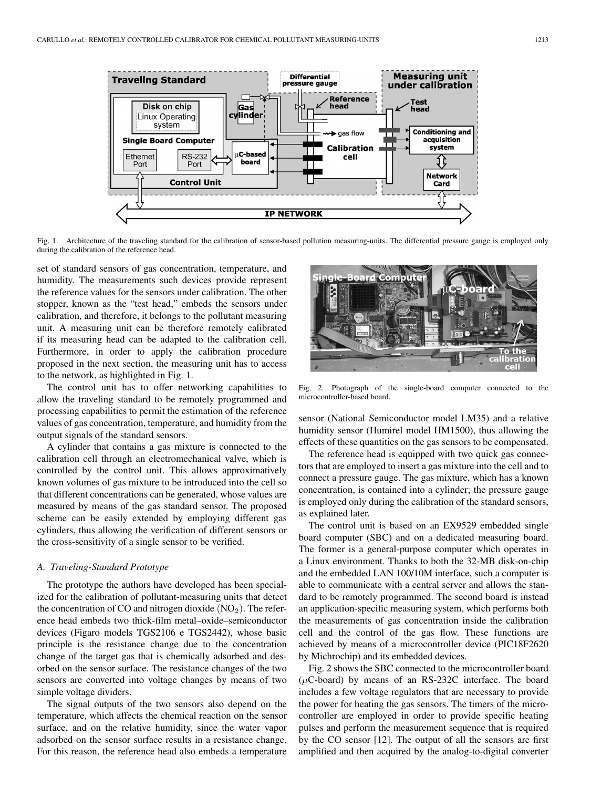

Fig. 1. Architecture of the traveling standard for the calibration of sensor-based pollution measuring-units. The differential pressure gauge is employed only during the calibration of the reference head.

set of standard sensors of gas concentration, temperature, and humidity. The measurements such devices provide represent the reference values for the sensors under calibration. The other stopper, known as the "test head," embeds the sensors under calibration, and therefore, it belongs to the pollutant measuring unit. A measuring unit can be therefore remotely calibrated if its measuring head can be adapted to the calibration cell. Furthermore, in order to apply the calibration procedure proposed in the next section, the measuring unit has to access to the network, as highlighted in Fig. 1.

The control unit has to offer networking capabilities to allow the traveling standard to be remotely programmed and processing capabilities to permit the estimation of the reference values of gas concentration, temperature, and humidity from the output signals of the standard sensors.

A cylinder that contains a gas mixture is connected to the calibration cell through an electromechanical valve, which is controlled by the control unit. This allows approximatively known volumes of gas mixture to be introduced into the cell so that different concentrations can be generated, whose values are measured by means of the gas standard sensor. The proposed scheme can be easily extended by employing different gas cylinders, thus allowing the verification of different sensors or the cross-sensitivity of a single sensor to be verified.

#### *A. Traveling-Standard Prototype*

The prototype the authors have developed has been specialized for the calibration of pollutant-measuring units that detect the concentration of CO and nitrogen dioxide  $(NO<sub>2</sub>)$ . The reference head embeds two thick-film metal–oxide–semiconductor devices (Figaro models TGS2106 e TGS2442), whose basic principle is the resistance change due to the concentration change of the target gas that is chemically adsorbed and desorbed on the sensor surface. The resistance changes of the two sensors are converted into voltage changes by means of two simple voltage dividers.

The signal outputs of the two sensors also depend on the temperature, which affects the chemical reaction on the sensor surface, and on the relative humidity, since the water vapor adsorbed on the sensor surface results in a resistance change. For this reason, the reference head also embeds a temperature



Fig. 2. Photograph of the single-board computer connected to the microcontroller-based board.

sensor (National Semiconductor model LM35) and a relative humidity sensor (Humirel model HM1500), thus allowing the effects of these quantities on the gas sensors to be compensated.

The reference head is equipped with two quick gas connectors that are employed to insert a gas mixture into the cell and to connect a pressure gauge. The gas mixture, which has a known concentration, is contained into a cylinder; the pressure gauge is employed only during the calibration of the standard sensors, as explained later.

The control unit is based on an EX9529 embedded single board computer (SBC) and on a dedicated measuring board. The former is a general-purpose computer which operates in a Linux environment. Thanks to both the 32-MB disk-on-chip and the embedded LAN 100/10M interface, such a computer is able to communicate with a central server and allows the standard to be remotely programmed. The second board is instead an application-specific measuring system, which performs both the measurements of gas concentration inside the calibration cell and the control of the gas flow. These functions are achieved by means of a microcontroller device (PIC18F2620 by Michrochip) and its embedded devices.

Fig. 2 shows the SBC connected to the microcontroller board  $(\mu C\text{-}board)$  by means of an RS-232C interface. The board includes a few voltage regulators that are necessary to provide the power for heating the gas sensors. The timers of the microcontroller are employed in order to provide specific heating pulses and perform the measurement sequence that is required by the CO sensor [12]. The output of all the sensors are first amplified and then acquired by the analog-to-digital converter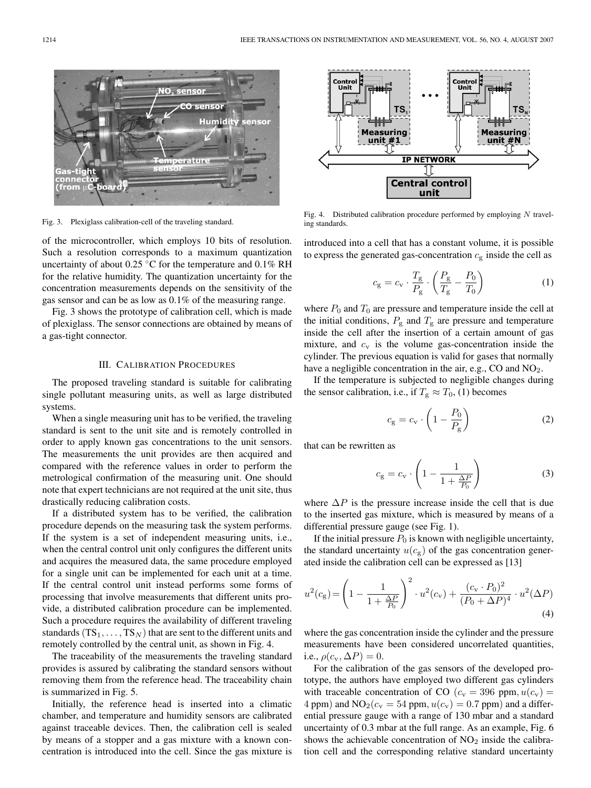

Fig. 3. Plexiglass calibration-cell of the traveling standard.

of the microcontroller, which employs 10 bits of resolution. Such a resolution corresponds to a maximum quantization uncertainty of about  $0.25 \text{ °C}$  for the temperature and  $0.1\%$  RH for the relative humidity. The quantization uncertainty for the concentration measurements depends on the sensitivity of the gas sensor and can be as low as 0.1% of the measuring range.

Fig. 3 shows the prototype of calibration cell, which is made of plexiglass. The sensor connections are obtained by means of a gas-tight connector.

#### III. CALIBRATION PROCEDURES

The proposed traveling standard is suitable for calibrating single pollutant measuring units, as well as large distributed systems.

When a single measuring unit has to be verified, the traveling standard is sent to the unit site and is remotely controlled in order to apply known gas concentrations to the unit sensors. The measurements the unit provides are then acquired and compared with the reference values in order to perform the metrological confirmation of the measuring unit. One should note that expert technicians are not required at the unit site, thus drastically reducing calibration costs.

If a distributed system has to be verified, the calibration procedure depends on the measuring task the system performs. If the system is a set of independent measuring units, i.e., when the central control unit only configures the different units and acquires the measured data, the same procedure employed for a single unit can be implemented for each unit at a time. If the central control unit instead performs some forms of processing that involve measurements that different units provide, a distributed calibration procedure can be implemented. Such a procedure requires the availability of different traveling standards  $(TS_1, \ldots, TS_N)$  that are sent to the different units and remotely controlled by the central unit, as shown in Fig. 4.

The traceability of the measurements the traveling standard provides is assured by calibrating the standard sensors without removing them from the reference head. The traceability chain is summarized in Fig. 5.

Initially, the reference head is inserted into a climatic chamber, and temperature and humidity sensors are calibrated against traceable devices. Then, the calibration cell is sealed by means of a stopper and a gas mixture with a known concentration is introduced into the cell. Since the gas mixture is



Fig. 4. Distributed calibration procedure performed by employing  $N$  traveling standards.

introduced into a cell that has a constant volume, it is possible to express the generated gas-concentration  $c_{\rm g}$  inside the cell as

$$
c_{\rm g} = c_{\rm v} \cdot \frac{T_{\rm g}}{P_{\rm g}} \cdot \left(\frac{P_{\rm g}}{T_{\rm g}} - \frac{P_0}{T_0}\right) \tag{1}
$$

where  $P_0$  and  $T_0$  are pressure and temperature inside the cell at the initial conditions,  $P_{\rm g}$  and  $T_{\rm g}$  are pressure and temperature inside the cell after the insertion of a certain amount of gas mixture, and  $c_v$  is the volume gas-concentration inside the cylinder. The previous equation is valid for gases that normally have a negligible concentration in the air, e.g., CO and NO<sub>2</sub>.

If the temperature is subjected to negligible changes during the sensor calibration, i.e., if  $T_g \approx T_0$ , (1) becomes

$$
c_{\rm g} = c_{\rm v} \cdot \left(1 - \frac{P_0}{P_{\rm g}}\right) \tag{2}
$$

that can be rewritten as

$$
c_{\rm g} = c_{\rm v} \cdot \left(1 - \frac{1}{1 + \frac{\Delta P}{P_0}}\right) \tag{3}
$$

where  $\Delta P$  is the pressure increase inside the cell that is due to the inserted gas mixture, which is measured by means of a differential pressure gauge (see Fig. 1).

If the initial pressure  $P_0$  is known with negligible uncertainty, the standard uncertainty  $u(c_g)$  of the gas concentration generated inside the calibration cell can be expressed as [13]

$$
u^{2}(c_{g}) = \left(1 - \frac{1}{1 + \frac{\Delta P}{P_{0}}}\right)^{2} \cdot u^{2}(c_{v}) + \frac{(c_{v} \cdot P_{0})^{2}}{(P_{0} + \Delta P)^{4}} \cdot u^{2}(\Delta P)
$$
\n(4)

where the gas concentration inside the cylinder and the pressure measurements have been considered uncorrelated quantities, i.e.,  $\rho(c_v, \Delta P)=0$ .

For the calibration of the gas sensors of the developed prototype, the authors have employed two different gas cylinders with traceable concentration of CO ( $c_v = 396$  ppm,  $u(c_v) =$ 4 ppm) and  $NO<sub>2</sub>(c<sub>v</sub> = 54 ppm, u(c<sub>v</sub>) = 0.7 ppm)$  and a differential pressure gauge with a range of 130 mbar and a standard uncertainty of 0.3 mbar at the full range. As an example, Fig. 6 shows the achievable concentration of  $NO<sub>2</sub>$  inside the calibration cell and the corresponding relative standard uncertainty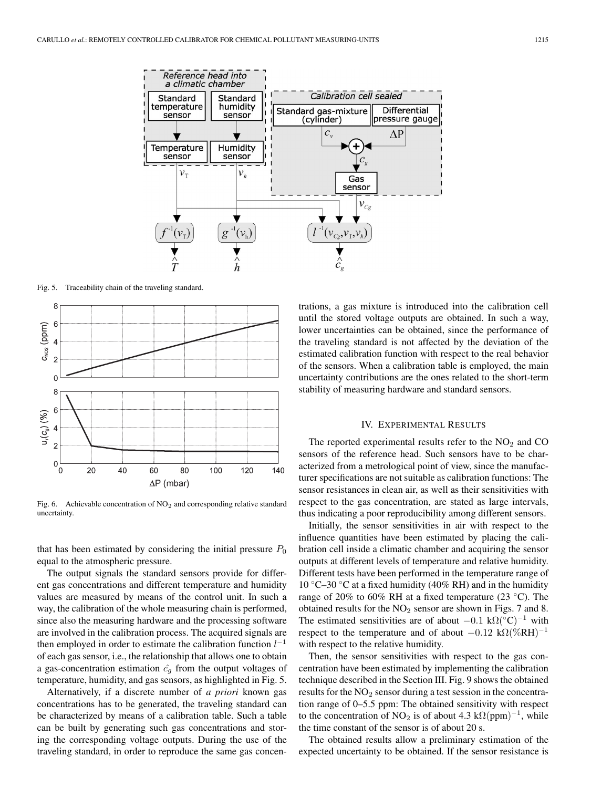

Fig. 5. Traceability chain of the traveling standard.



Fig. 6. Achievable concentration of  $NO<sub>2</sub>$  and corresponding relative standard uncertainty.

that has been estimated by considering the initial pressure  $P_0$ equal to the atmospheric pressure.

The output signals the standard sensors provide for different gas concentrations and different temperature and humidity values are measured by means of the control unit. In such a way, the calibration of the whole measuring chain is performed, since also the measuring hardware and the processing software are involved in the calibration process. The acquired signals are then employed in order to estimate the calibration function  $l^{-1}$ of each gas sensor, i.e., the relationship that allows one to obtain a gas-concentration estimation  $\hat{c}_q$  from the output voltages of temperature, humidity, and gas sensors, as highlighted in Fig. 5.

Alternatively, if a discrete number of *a priori* known gas concentrations has to be generated, the traveling standard can be characterized by means of a calibration table. Such a table can be built by generating such gas concentrations and storing the corresponding voltage outputs. During the use of the traveling standard, in order to reproduce the same gas concen-

trations, a gas mixture is introduced into the calibration cell until the stored voltage outputs are obtained. In such a way, lower uncertainties can be obtained, since the performance of the traveling standard is not affected by the deviation of the estimated calibration function with respect to the real behavior of the sensors. When a calibration table is employed, the main uncertainty contributions are the ones related to the short-term stability of measuring hardware and standard sensors.

#### IV. EXPERIMENTAL RESULTS

The reported experimental results refer to the  $NO<sub>2</sub>$  and  $CO$ sensors of the reference head. Such sensors have to be characterized from a metrological point of view, since the manufacturer specifications are not suitable as calibration functions: The sensor resistances in clean air, as well as their sensitivities with respect to the gas concentration, are stated as large intervals, thus indicating a poor reproducibility among different sensors.

Initially, the sensor sensitivities in air with respect to the influence quantities have been estimated by placing the calibration cell inside a climatic chamber and acquiring the sensor outputs at different levels of temperature and relative humidity. Different tests have been performed in the temperature range of 10 °C–30 °C at a fixed humidity (40% RH) and in the humidity range of 20% to 60% RH at a fixed temperature (23 ◦C). The obtained results for the  $NO<sub>2</sub>$  sensor are shown in Figs. 7 and 8. The estimated sensitivities are of about  $-0.1 \text{ k}\Omega$ <sup>(°C)<sup>-1</sup> with</sup> respect to the temperature and of about  $-0.12 \text{ k}\Omega(\% \text{RH})^{-1}$ with respect to the relative humidity.

Then, the sensor sensitivities with respect to the gas concentration have been estimated by implementing the calibration technique described in the Section III. Fig. 9 shows the obtained results for the  $NO<sub>2</sub>$  sensor during a test session in the concentration range of 0–5.5 ppm: The obtained sensitivity with respect to the concentration of NO<sub>2</sub> is of about 4.3 k $\Omega$ (ppm)<sup>-1</sup>, while the time constant of the sensor is of about 20 s.

The obtained results allow a preliminary estimation of the expected uncertainty to be obtained. If the sensor resistance is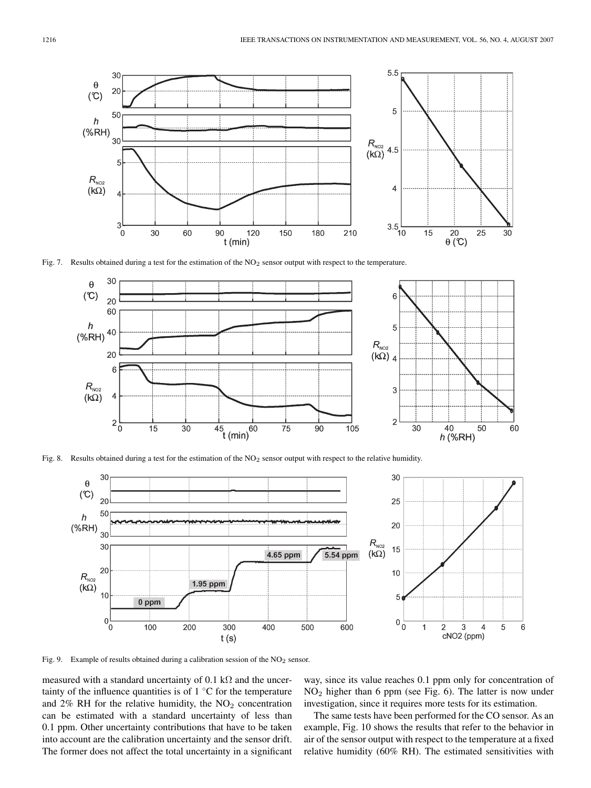

Fig. 7. Results obtained during a test for the estimation of the NO<sub>2</sub> sensor output with respect to the temperature.



Fig. 8. Results obtained during a test for the estimation of the NO<sub>2</sub> sensor output with respect to the relative humidity.



Fig. 9. Example of results obtained during a calibration session of the NO<sub>2</sub> sensor.

measured with a standard uncertainty of 0.1 kΩ and the uncertainty of the influence quantities is of  $1 \,^{\circ}\text{C}$  for the temperature and  $2\%$  RH for the relative humidity, the  $NO<sub>2</sub>$  concentration can be estimated with a standard uncertainty of less than 0.1 ppm. Other uncertainty contributions that have to be taken into account are the calibration uncertainty and the sensor drift. The former does not affect the total uncertainty in a significant way, since its value reaches 0.1 ppm only for concentration of NO<sup>2</sup> higher than 6 ppm (see Fig. 6). The latter is now under investigation, since it requires more tests for its estimation.

The same tests have been performed for the CO sensor. As an example, Fig. 10 shows the results that refer to the behavior in air of the sensor output with respect to the temperature at a fixed relative humidity (60% RH). The estimated sensitivities with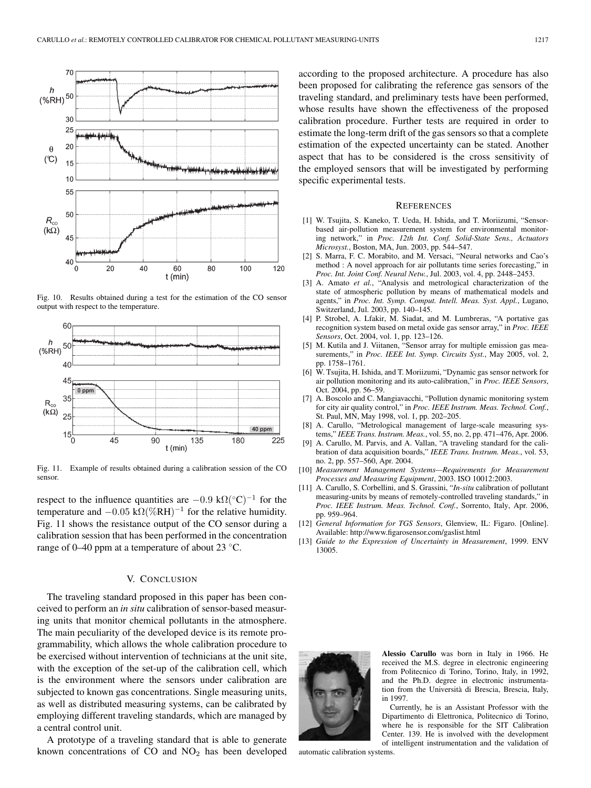

Fig. 10. Results obtained during a test for the estimation of the CO sensor output with respect to the temperature.



Fig. 11. Example of results obtained during a calibration session of the CO sensor.

respect to the influence quantities are  $-0.9 \text{ k}\Omega$ (°C)<sup>-1</sup> for the temperature and  $-0.05 \text{ k}\Omega(\% \text{RH})^{-1}$  for the relative humidity. Fig. 11 shows the resistance output of the CO sensor during a calibration session that has been performed in the concentration range of 0–40 ppm at a temperature of about 23 ◦C.

#### V. CONCLUSION

The traveling standard proposed in this paper has been conceived to perform an *in situ* calibration of sensor-based measuring units that monitor chemical pollutants in the atmosphere. The main peculiarity of the developed device is its remote programmability, which allows the whole calibration procedure to be exercised without intervention of technicians at the unit site, with the exception of the set-up of the calibration cell, which is the environment where the sensors under calibration are subjected to known gas concentrations. Single measuring units, as well as distributed measuring systems, can be calibrated by employing different traveling standards, which are managed by a central control unit.

A prototype of a traveling standard that is able to generate known concentrations of  $CO$  and  $NO<sub>2</sub>$  has been developed according to the proposed architecture. A procedure has also been proposed for calibrating the reference gas sensors of the traveling standard, and preliminary tests have been performed, whose results have shown the effectiveness of the proposed calibration procedure. Further tests are required in order to estimate the long-term drift of the gas sensors so that a complete estimation of the expected uncertainty can be stated. Another aspect that has to be considered is the cross sensitivity of the employed sensors that will be investigated by performing specific experimental tests.

#### **REFERENCES**

- [1] W. Tsujita, S. Kaneko, T. Ueda, H. Ishida, and T. Moriizumi, "Sensorbased air-pollution measurement system for environmental monitoring network," in *Proc. 12th Int. Conf. Solid-State Sens., Actuators Microsyst.*, Boston, MA, Jun. 2003, pp. 544–547.
- [2] S. Marra, F. C. Morabito, and M. Versaci, "Neural networks and Cao's method : A novel approach for air pollutants time series forecasting," in *Proc. Int. Joint Conf. Neural Netw.*, Jul. 2003, vol. 4, pp. 2448–2453.
- [3] A. Amato *et al.*, "Analysis and metrological characterization of the state of atmospheric pollution by means of mathematical models and agents," in *Proc. Int. Symp. Comput. Intell. Meas. Syst. Appl.*, Lugano, Switzerland, Jul. 2003, pp. 140–145.
- [4] P. Strobel, A. Lfakir, M. Siadat, and M. Lumbreras, "A portative gas recognition system based on metal oxide gas sensor array," in *Proc. IEEE Sensors*, Oct. 2004, vol. 1, pp. 123–126.
- [5] M. Kutila and J. Viitanen, "Sensor array for multiple emission gas measurements," in *Proc. IEEE Int. Symp. Circuits Syst.*, May 2005, vol. 2, pp. 1758–1761.
- [6] W. Tsujita, H. Ishida, and T. Moriizumi, "Dynamic gas sensor network for air pollution monitoring and its auto-calibration," in *Proc. IEEE Sensors*, Oct. 2004, pp. 56–59.
- [7] A. Boscolo and C. Mangiavacchi, "Pollution dynamic monitoring system for city air quality control," in *Proc. IEEE Instrum. Meas. Technol. Conf.*, St. Paul, MN, May 1998, vol. 1, pp. 202–205.
- [8] A. Carullo, "Metrological management of large-scale measuring systems," *IEEE Trans. Instrum. Meas.*, vol. 55, no. 2, pp. 471–476, Apr. 2006.
- [9] A. Carullo, M. Parvis, and A. Vallan, "A traveling standard for the calibration of data acquisition boards," *IEEE Trans. Instrum. Meas.*, vol. 53, no. 2, pp. 557–560, Apr. 2004.
- [10] *Measurement Management Systems—Requirements for Measurement Processes and Measuring Equipment*, 2003. ISO 10012:2003.
- [11] A. Carullo, S. Corbellini, and S. Grassini, "*In-situ* calibration of pollutant measuring-units by means of remotely-controlled traveling standards," in *Proc. IEEE Instrum. Meas. Technol. Conf.*, Sorrento, Italy, Apr. 2006, pp. 959–964.
- [12] *General Information for TGS Sensors*, Glenview, IL: Figaro. [Online]. Available: http://www.figarosensor.com/gaslist.html
- [13] *Guide to the Expression of Uncertainty in Measurement*, 1999. ENV 13005.



**Alessio Carullo** was born in Italy in 1966. He received the M.S. degree in electronic engineering from Politecnico di Torino, Torino, Italy, in 1992, and the Ph.D. degree in electronic instrumentation from the Università di Brescia, Brescia, Italy, in 1997.

Currently, he is an Assistant Professor with the Dipartimento di Elettronica, Politecnico di Torino, where he is responsible for the SIT Calibration Center. 139. He is involved with the development of intelligent instrumentation and the validation of

automatic calibration systems.